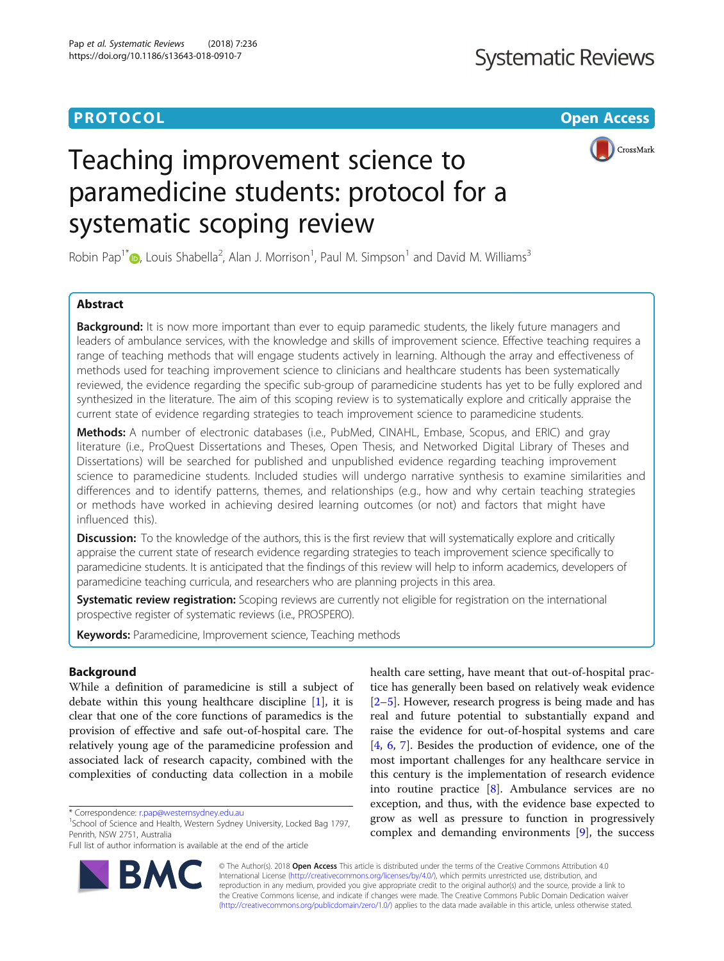# **PROTOCOL CONSUMING THE OPEN ACCESS**



# Teaching improvement science to paramedicine students: protocol for a systematic scoping review

Robin Pap<sup>1[\\*](http://orcid.org/0000-0002-7058-0341)</sup> $\bm{\odot}$ , Louis Shabella<sup>2</sup>, Alan J. Morrison<sup>1</sup>, Paul M. Simpson<sup>1</sup> and David M. Williams<sup>3</sup>

# Abstract

Background: It is now more important than ever to equip paramedic students, the likely future managers and leaders of ambulance services, with the knowledge and skills of improvement science. Effective teaching requires a range of teaching methods that will engage students actively in learning. Although the array and effectiveness of methods used for teaching improvement science to clinicians and healthcare students has been systematically reviewed, the evidence regarding the specific sub-group of paramedicine students has yet to be fully explored and synthesized in the literature. The aim of this scoping review is to systematically explore and critically appraise the current state of evidence regarding strategies to teach improvement science to paramedicine students.

Methods: A number of electronic databases (i.e., PubMed, CINAHL, Embase, Scopus, and ERIC) and gray literature (i.e., ProQuest Dissertations and Theses, Open Thesis, and Networked Digital Library of Theses and Dissertations) will be searched for published and unpublished evidence regarding teaching improvement science to paramedicine students. Included studies will undergo narrative synthesis to examine similarities and differences and to identify patterns, themes, and relationships (e.g., how and why certain teaching strategies or methods have worked in achieving desired learning outcomes (or not) and factors that might have influenced this).

**Discussion:** To the knowledge of the authors, this is the first review that will systematically explore and critically appraise the current state of research evidence regarding strategies to teach improvement science specifically to paramedicine students. It is anticipated that the findings of this review will help to inform academics, developers of paramedicine teaching curricula, and researchers who are planning projects in this area.

Systematic review registration: Scoping reviews are currently not eligible for registration on the international prospective register of systematic reviews (i.e., PROSPERO).

Keywords: Paramedicine, Improvement science, Teaching methods

# Background

While a definition of paramedicine is still a subject of debate within this young healthcare discipline [\[1](#page-4-0)], it is clear that one of the core functions of paramedics is the provision of effective and safe out-of-hospital care. The relatively young age of the paramedicine profession and associated lack of research capacity, combined with the complexities of conducting data collection in a mobile

Full list of author information is available at the end of the article



health care setting, have meant that out-of-hospital practice has generally been based on relatively weak evidence [[2](#page-4-0)–[5\]](#page-5-0). However, research progress is being made and has real and future potential to substantially expand and raise the evidence for out-of-hospital systems and care [[4,](#page-5-0) [6,](#page-5-0) [7](#page-5-0)]. Besides the production of evidence, one of the most important challenges for any healthcare service in this century is the implementation of research evidence into routine practice [\[8](#page-5-0)]. Ambulance services are no exception, and thus, with the evidence base expected to grow as well as pressure to function in progressively complex and demanding environments [[9\]](#page-5-0), the success

© The Author(s). 2018 Open Access This article is distributed under the terms of the Creative Commons Attribution 4.0 International License [\(http://creativecommons.org/licenses/by/4.0/](http://creativecommons.org/licenses/by/4.0/)), which permits unrestricted use, distribution, and reproduction in any medium, provided you give appropriate credit to the original author(s) and the source, provide a link to the Creative Commons license, and indicate if changes were made. The Creative Commons Public Domain Dedication waiver [\(http://creativecommons.org/publicdomain/zero/1.0/](http://creativecommons.org/publicdomain/zero/1.0/)) applies to the data made available in this article, unless otherwise stated.

<sup>\*</sup> Correspondence: [r.pap@westernsydney.edu.au](mailto:r.pap@westernsydney.edu.au) <sup>1</sup>

<sup>&</sup>lt;sup>1</sup>School of Science and Health, Western Sydney University, Locked Bag 1797, Penrith, NSW 2751, Australia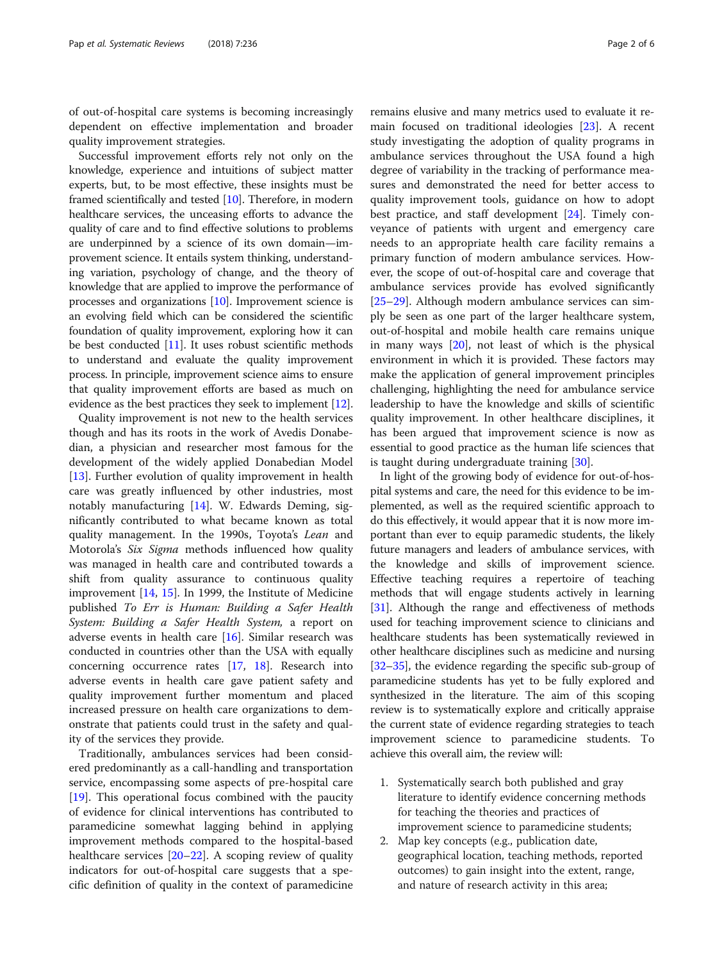of out-of-hospital care systems is becoming increasingly dependent on effective implementation and broader quality improvement strategies.

Successful improvement efforts rely not only on the knowledge, experience and intuitions of subject matter experts, but, to be most effective, these insights must be framed scientifically and tested [\[10](#page-5-0)]. Therefore, in modern healthcare services, the unceasing efforts to advance the quality of care and to find effective solutions to problems are underpinned by a science of its own domain—improvement science. It entails system thinking, understanding variation, psychology of change, and the theory of knowledge that are applied to improve the performance of processes and organizations [\[10\]](#page-5-0). Improvement science is an evolving field which can be considered the scientific foundation of quality improvement, exploring how it can be best conducted  $[11]$ . It uses robust scientific methods to understand and evaluate the quality improvement process. In principle, improvement science aims to ensure that quality improvement efforts are based as much on evidence as the best practices they seek to implement [[12](#page-5-0)].

Quality improvement is not new to the health services though and has its roots in the work of Avedis Donabedian, a physician and researcher most famous for the development of the widely applied Donabedian Model [[13\]](#page-5-0). Further evolution of quality improvement in health care was greatly influenced by other industries, most notably manufacturing [[14](#page-5-0)]. W. Edwards Deming, significantly contributed to what became known as total quality management. In the 1990s, Toyota's Lean and Motorola's Six Sigma methods influenced how quality was managed in health care and contributed towards a shift from quality assurance to continuous quality improvement [[14,](#page-5-0) [15\]](#page-5-0). In 1999, the Institute of Medicine published To Err is Human: Building a Safer Health System: Building a Safer Health System, a report on adverse events in health care [[16](#page-5-0)]. Similar research was conducted in countries other than the USA with equally concerning occurrence rates [\[17](#page-5-0), [18\]](#page-5-0). Research into adverse events in health care gave patient safety and quality improvement further momentum and placed increased pressure on health care organizations to demonstrate that patients could trust in the safety and quality of the services they provide.

Traditionally, ambulances services had been considered predominantly as a call-handling and transportation service, encompassing some aspects of pre-hospital care [[19\]](#page-5-0). This operational focus combined with the paucity of evidence for clinical interventions has contributed to paramedicine somewhat lagging behind in applying improvement methods compared to the hospital-based healthcare services  $[20-22]$  $[20-22]$  $[20-22]$ . A scoping review of quality indicators for out-of-hospital care suggests that a specific definition of quality in the context of paramedicine

remains elusive and many metrics used to evaluate it remain focused on traditional ideologies [\[23\]](#page-5-0). A recent study investigating the adoption of quality programs in ambulance services throughout the USA found a high degree of variability in the tracking of performance measures and demonstrated the need for better access to quality improvement tools, guidance on how to adopt best practice, and staff development [[24\]](#page-5-0). Timely conveyance of patients with urgent and emergency care needs to an appropriate health care facility remains a primary function of modern ambulance services. However, the scope of out-of-hospital care and coverage that ambulance services provide has evolved significantly [[25](#page-5-0)–[29](#page-5-0)]. Although modern ambulance services can simply be seen as one part of the larger healthcare system, out-of-hospital and mobile health care remains unique in many ways [[20](#page-5-0)], not least of which is the physical environment in which it is provided. These factors may make the application of general improvement principles challenging, highlighting the need for ambulance service leadership to have the knowledge and skills of scientific quality improvement. In other healthcare disciplines, it has been argued that improvement science is now as essential to good practice as the human life sciences that is taught during undergraduate training [\[30\]](#page-5-0).

In light of the growing body of evidence for out-of-hospital systems and care, the need for this evidence to be implemented, as well as the required scientific approach to do this effectively, it would appear that it is now more important than ever to equip paramedic students, the likely future managers and leaders of ambulance services, with the knowledge and skills of improvement science. Effective teaching requires a repertoire of teaching methods that will engage students actively in learning [[31](#page-5-0)]. Although the range and effectiveness of methods used for teaching improvement science to clinicians and healthcare students has been systematically reviewed in other healthcare disciplines such as medicine and nursing [[32](#page-5-0)–[35\]](#page-5-0), the evidence regarding the specific sub-group of paramedicine students has yet to be fully explored and synthesized in the literature. The aim of this scoping review is to systematically explore and critically appraise the current state of evidence regarding strategies to teach improvement science to paramedicine students. To achieve this overall aim, the review will:

- 1. Systematically search both published and gray literature to identify evidence concerning methods for teaching the theories and practices of improvement science to paramedicine students;
- 2. Map key concepts (e.g., publication date, geographical location, teaching methods, reported outcomes) to gain insight into the extent, range, and nature of research activity in this area;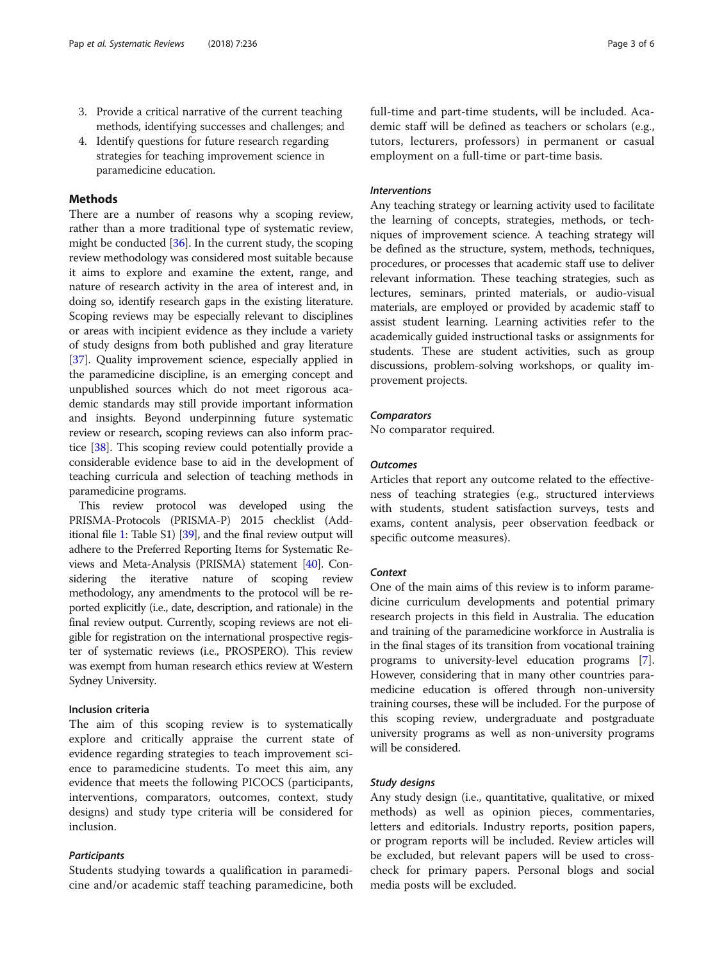- 3. Provide a critical narrative of the current teaching methods, identifying successes and challenges; and
- 4. Identify questions for future research regarding strategies for teaching improvement science in paramedicine education.

# **Methods**

There are a number of reasons why a scoping review, rather than a more traditional type of systematic review, might be conducted [\[36\]](#page-5-0). In the current study, the scoping review methodology was considered most suitable because it aims to explore and examine the extent, range, and nature of research activity in the area of interest and, in doing so, identify research gaps in the existing literature. Scoping reviews may be especially relevant to disciplines or areas with incipient evidence as they include a variety of study designs from both published and gray literature [[37](#page-5-0)]. Quality improvement science, especially applied in the paramedicine discipline, is an emerging concept and unpublished sources which do not meet rigorous academic standards may still provide important information and insights. Beyond underpinning future systematic review or research, scoping reviews can also inform practice [[38](#page-5-0)]. This scoping review could potentially provide a considerable evidence base to aid in the development of teaching curricula and selection of teaching methods in paramedicine programs.

This review protocol was developed using the PRISMA-Protocols (PRISMA-P) 2015 checklist (Additional file [1](#page-4-0): Table S1) [\[39\]](#page-5-0), and the final review output will adhere to the Preferred Reporting Items for Systematic Reviews and Meta-Analysis (PRISMA) statement [[40](#page-5-0)]. Considering the iterative nature of scoping review methodology, any amendments to the protocol will be reported explicitly (i.e., date, description, and rationale) in the final review output. Currently, scoping reviews are not eligible for registration on the international prospective register of systematic reviews (i.e., PROSPERO). This review was exempt from human research ethics review at Western Sydney University.

## Inclusion criteria

The aim of this scoping review is to systematically explore and critically appraise the current state of evidence regarding strategies to teach improvement science to paramedicine students. To meet this aim, any evidence that meets the following PICOCS (participants, interventions, comparators, outcomes, context, study designs) and study type criteria will be considered for inclusion.

## **Participants**

Students studying towards a qualification in paramedicine and/or academic staff teaching paramedicine, both

full-time and part-time students, will be included. Academic staff will be defined as teachers or scholars (e.g., tutors, lecturers, professors) in permanent or casual employment on a full-time or part-time basis.

# Interventions

Any teaching strategy or learning activity used to facilitate the learning of concepts, strategies, methods, or techniques of improvement science. A teaching strategy will be defined as the structure, system, methods, techniques, procedures, or processes that academic staff use to deliver relevant information. These teaching strategies, such as lectures, seminars, printed materials, or audio-visual materials, are employed or provided by academic staff to assist student learning. Learning activities refer to the academically guided instructional tasks or assignments for students. These are student activities, such as group discussions, problem-solving workshops, or quality improvement projects.

# **Comparators**

No comparator required.

# **Outcomes**

Articles that report any outcome related to the effectiveness of teaching strategies (e.g., structured interviews with students, student satisfaction surveys, tests and exams, content analysis, peer observation feedback or specific outcome measures).

## **Context**

One of the main aims of this review is to inform paramedicine curriculum developments and potential primary research projects in this field in Australia. The education and training of the paramedicine workforce in Australia is in the final stages of its transition from vocational training programs to university-level education programs [[7](#page-5-0)]. However, considering that in many other countries paramedicine education is offered through non-university training courses, these will be included. For the purpose of this scoping review, undergraduate and postgraduate university programs as well as non-university programs will be considered.

## Study designs

Any study design (i.e., quantitative, qualitative, or mixed methods) as well as opinion pieces, commentaries, letters and editorials. Industry reports, position papers, or program reports will be included. Review articles will be excluded, but relevant papers will be used to crosscheck for primary papers. Personal blogs and social media posts will be excluded.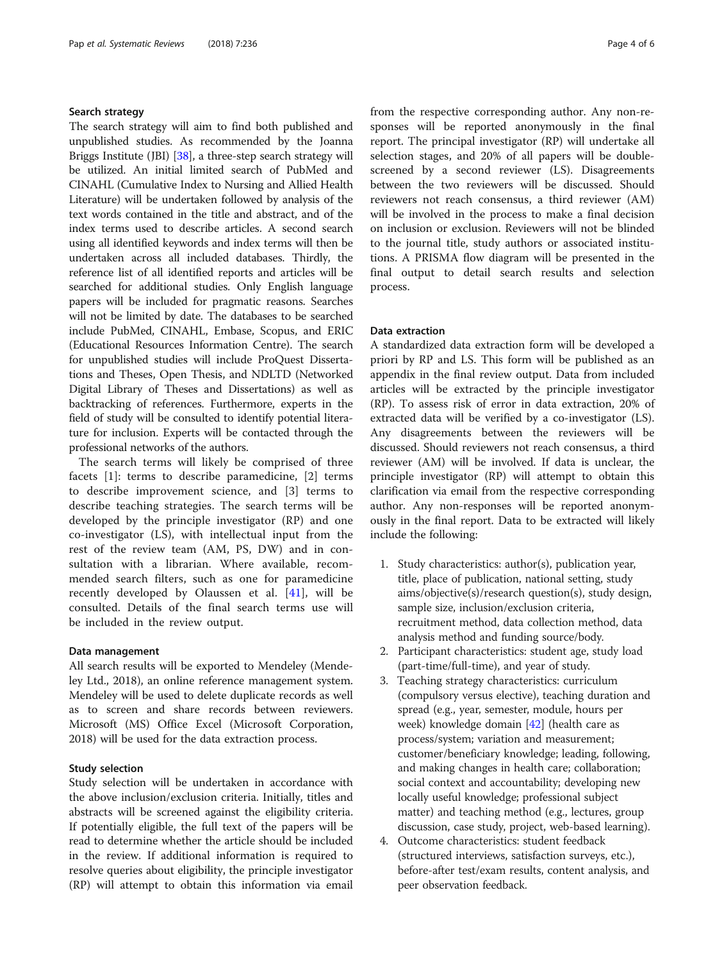# Search strategy

The search strategy will aim to find both published and unpublished studies. As recommended by the Joanna Briggs Institute (JBI) [[38](#page-5-0)], a three-step search strategy will be utilized. An initial limited search of PubMed and CINAHL (Cumulative Index to Nursing and Allied Health Literature) will be undertaken followed by analysis of the text words contained in the title and abstract, and of the index terms used to describe articles. A second search using all identified keywords and index terms will then be undertaken across all included databases. Thirdly, the reference list of all identified reports and articles will be searched for additional studies. Only English language papers will be included for pragmatic reasons. Searches will not be limited by date. The databases to be searched include PubMed, CINAHL, Embase, Scopus, and ERIC (Educational Resources Information Centre). The search for unpublished studies will include ProQuest Dissertations and Theses, Open Thesis, and NDLTD (Networked Digital Library of Theses and Dissertations) as well as backtracking of references. Furthermore, experts in the field of study will be consulted to identify potential literature for inclusion. Experts will be contacted through the professional networks of the authors.

The search terms will likely be comprised of three facets [1]: terms to describe paramedicine, [2] terms to describe improvement science, and [3] terms to describe teaching strategies. The search terms will be developed by the principle investigator (RP) and one co-investigator (LS), with intellectual input from the rest of the review team (AM, PS, DW) and in consultation with a librarian. Where available, recommended search filters, such as one for paramedicine recently developed by Olaussen et al. [[41\]](#page-5-0), will be consulted. Details of the final search terms use will be included in the review output.

# Data management

All search results will be exported to Mendeley (Mendeley Ltd., 2018), an online reference management system. Mendeley will be used to delete duplicate records as well as to screen and share records between reviewers. Microsoft (MS) Office Excel (Microsoft Corporation, 2018) will be used for the data extraction process.

## Study selection

Study selection will be undertaken in accordance with the above inclusion/exclusion criteria. Initially, titles and abstracts will be screened against the eligibility criteria. If potentially eligible, the full text of the papers will be read to determine whether the article should be included in the review. If additional information is required to resolve queries about eligibility, the principle investigator (RP) will attempt to obtain this information via email from the respective corresponding author. Any non-responses will be reported anonymously in the final report. The principal investigator (RP) will undertake all selection stages, and 20% of all papers will be doublescreened by a second reviewer (LS). Disagreements between the two reviewers will be discussed. Should reviewers not reach consensus, a third reviewer (AM) will be involved in the process to make a final decision on inclusion or exclusion. Reviewers will not be blinded to the journal title, study authors or associated institutions. A PRISMA flow diagram will be presented in the final output to detail search results and selection process.

# Data extraction

A standardized data extraction form will be developed a priori by RP and LS. This form will be published as an appendix in the final review output. Data from included articles will be extracted by the principle investigator (RP). To assess risk of error in data extraction, 20% of extracted data will be verified by a co-investigator (LS). Any disagreements between the reviewers will be discussed. Should reviewers not reach consensus, a third reviewer (AM) will be involved. If data is unclear, the principle investigator (RP) will attempt to obtain this clarification via email from the respective corresponding author. Any non-responses will be reported anonymously in the final report. Data to be extracted will likely include the following:

- 1. Study characteristics: author(s), publication year, title, place of publication, national setting, study aims/objective(s)/research question(s), study design, sample size, inclusion/exclusion criteria, recruitment method, data collection method, data analysis method and funding source/body.
- 2. Participant characteristics: student age, study load (part-time/full-time), and year of study.
- 3. Teaching strategy characteristics: curriculum (compulsory versus elective), teaching duration and spread (e.g., year, semester, module, hours per week) knowledge domain [[42](#page-5-0)] (health care as process/system; variation and measurement; customer/beneficiary knowledge; leading, following, and making changes in health care; collaboration; social context and accountability; developing new locally useful knowledge; professional subject matter) and teaching method (e.g., lectures, group discussion, case study, project, web-based learning).
- 4. Outcome characteristics: student feedback (structured interviews, satisfaction surveys, etc.), before-after test/exam results, content analysis, and peer observation feedback.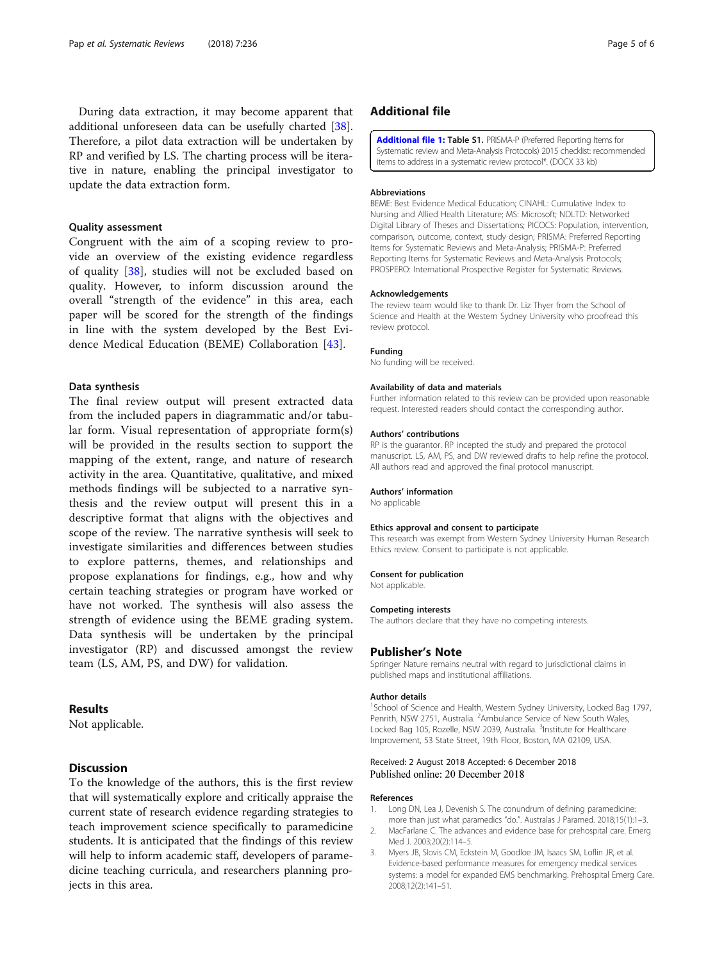<span id="page-4-0"></span>During data extraction, it may become apparent that additional unforeseen data can be usefully charted [\[38](#page-5-0)]. Therefore, a pilot data extraction will be undertaken by RP and verified by LS. The charting process will be iterative in nature, enabling the principal investigator to update the data extraction form.

## Quality assessment

Congruent with the aim of a scoping review to provide an overview of the existing evidence regardless of quality [\[38](#page-5-0)], studies will not be excluded based on quality. However, to inform discussion around the overall "strength of the evidence" in this area, each paper will be scored for the strength of the findings in line with the system developed by the Best Evidence Medical Education (BEME) Collaboration [[43](#page-5-0)].

## Data synthesis

The final review output will present extracted data from the included papers in diagrammatic and/or tabular form. Visual representation of appropriate form(s) will be provided in the results section to support the mapping of the extent, range, and nature of research activity in the area. Quantitative, qualitative, and mixed methods findings will be subjected to a narrative synthesis and the review output will present this in a descriptive format that aligns with the objectives and scope of the review. The narrative synthesis will seek to investigate similarities and differences between studies to explore patterns, themes, and relationships and propose explanations for findings, e.g., how and why certain teaching strategies or program have worked or have not worked. The synthesis will also assess the strength of evidence using the BEME grading system. Data synthesis will be undertaken by the principal investigator (RP) and discussed amongst the review team (LS, AM, PS, and DW) for validation.

# **Results**

Not applicable.

# **Discussion**

To the knowledge of the authors, this is the first review that will systematically explore and critically appraise the current state of research evidence regarding strategies to teach improvement science specifically to paramedicine students. It is anticipated that the findings of this review will help to inform academic staff, developers of paramedicine teaching curricula, and researchers planning projects in this area.

# Additional file

[Additional file 1:](https://doi.org/10.1186/s13643-018-0910-7) Table S1. PRISMA-P (Preferred Reporting Items for Systematic review and Meta-Analysis Protocols) 2015 checklist: recommended items to address in a systematic review protocol\*. (DOCX 33 kb)

## Abbreviations

BEME: Best Evidence Medical Education; CINAHL: Cumulative Index to Nursing and Allied Health Literature; MS: Microsoft; NDLTD: Networked Digital Library of Theses and Dissertations; PICOCS: Population, intervention, comparison, outcome, context, study design; PRISMA: Preferred Reporting Items for Systematic Reviews and Meta-Analysis; PRISMA-P: Preferred Reporting Items for Systematic Reviews and Meta-Analysis Protocols; PROSPERO: International Prospective Register for Systematic Reviews.

#### Acknowledgements

The review team would like to thank Dr. Liz Thyer from the School of Science and Health at the Western Sydney University who proofread this review protocol.

#### Funding

No funding will be received.

### Availability of data and materials

Further information related to this review can be provided upon reasonable request. Interested readers should contact the corresponding author.

#### Authors' contributions

RP is the guarantor. RP incepted the study and prepared the protocol manuscript. LS, AM, PS, and DW reviewed drafts to help refine the protocol. All authors read and approved the final protocol manuscript.

#### Authors' information

No applicable

## Ethics approval and consent to participate

This research was exempt from Western Sydney University Human Research Ethics review. Consent to participate is not applicable.

#### Consent for publication

Not applicable.

#### Competing interests

The authors declare that they have no competing interests.

## Publisher's Note

Springer Nature remains neutral with regard to jurisdictional claims in published maps and institutional affiliations.

#### Author details

<sup>1</sup>School of Science and Health, Western Sydney University, Locked Bag 1797 Penrith, NSW 2751, Australia. <sup>2</sup> Ambulance Service of New South Wales, Locked Bag 105, Rozelle, NSW 2039, Australia. <sup>3</sup>Institute for Healthcare Improvement, 53 State Street, 19th Floor, Boston, MA 02109, USA.

# Received: 2 August 2018 Accepted: 6 December 2018 Published online: 20 December 2018

## References

- 1. Long DN, Lea J, Devenish S. The conundrum of defining paramedicine: more than just what paramedics "do.". Australas J Paramed. 2018;15(1):1–3.
- 2. MacFarlane C. The advances and evidence base for prehospital care. Emerg Med J. 2003;20(2):114–5.
- 3. Myers JB, Slovis CM, Eckstein M, Goodloe JM, Isaacs SM, Loflin JR, et al. Evidence-based performance measures for emergency medical services systems: a model for expanded EMS benchmarking. Prehospital Emerg Care. 2008;12(2):141–51.